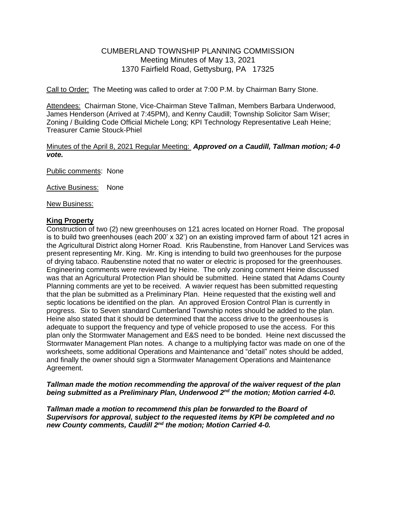# CUMBERLAND TOWNSHIP PLANNING COMMISSION Meeting Minutes of May 13, 2021 1370 Fairfield Road, Gettysburg, PA 17325

Call to Order: The Meeting was called to order at 7:00 P.M. by Chairman Barry Stone.

Attendees: Chairman Stone, Vice-Chairman Steve Tallman, Members Barbara Underwood, James Henderson (Arrived at 7:45PM), and Kenny Caudill; Township Solicitor Sam Wiser; Zoning / Building Code Official Michele Long; KPI Technology Representative Leah Heine; Treasurer Camie Stouck-Phiel

### Minutes of the April 8, 2021 Regular Meeting: *Approved on a Caudill, Tallman motion; 4-0 vote.*

Public comments: None

Active Business: None

New Business:

#### **King Property**

Construction of two (2) new greenhouses on 121 acres located on Horner Road. The proposal is to build two greenhouses (each 200' x 32') on an existing improved farm of about 121 acres in the Agricultural District along Horner Road. Kris Raubenstine, from Hanover Land Services was present representing Mr. King. Mr. King is intending to build two greenhouses for the purpose of drying tabaco. Raubenstine noted that no water or electric is proposed for the greenhouses. Engineering comments were reviewed by Heine. The only zoning comment Heine discussed was that an Agricultural Protection Plan should be submitted. Heine stated that Adams County Planning comments are yet to be received. A wavier request has been submitted requesting that the plan be submitted as a Preliminary Plan. Heine requested that the existing well and septic locations be identified on the plan. An approved Erosion Control Plan is currently in progress. Six to Seven standard Cumberland Township notes should be added to the plan. Heine also stated that it should be determined that the access drive to the greenhouses is adequate to support the frequency and type of vehicle proposed to use the access. For this plan only the Stormwater Management and E&S need to be bonded. Heine next discussed the Stormwater Management Plan notes. A change to a multiplying factor was made on one of the worksheets, some additional Operations and Maintenance and "detail" notes should be added, and finally the owner should sign a Stormwater Management Operations and Maintenance Agreement.

### *Tallman made the motion recommending the approval of the waiver request of the plan being submitted as a Preliminary Plan, Underwood 2nd the motion; Motion carried 4-0.*

*Tallman made a motion to recommend this plan be forwarded to the Board of Supervisors for approval, subject to the requested items by KPI be completed and no new County comments, Caudill 2nd the motion; Motion Carried 4-0.*